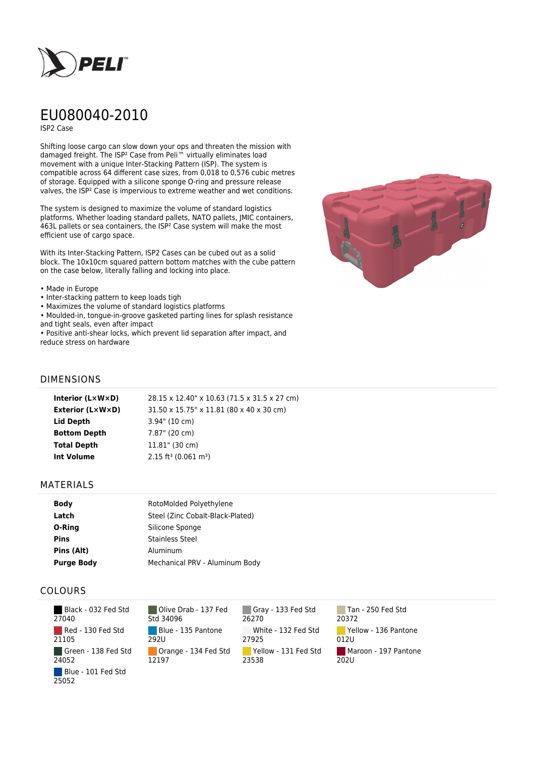

# EU080040-2010

ISP2 Case

Shifting loose cargo can slow down your ops and threaten the mission with damaged freight. The ISP² Case from Peli™ virtually eliminates load movement with a unique Inter-Stacking Pattern (ISP). The system is compatible across 64 different case sizes, from 0,018 to 0,576 cubic metres of storage. Equipped with a silicone sponge O-ring and pressure release valves, the ISP² Case is impervious to extreme weather and wet conditions.

The system is designed to maximize the volume of standard logistics platforms. Whether loading standard pallets, NATO pallets, JMIC containers, 463L pallets or sea containers, the ISP² Case system will make the most efficient use of cargo space.

With its Inter-Stacking Pattern, ISP2 Cases can be cubed out as a solid block. The 10x10cm squared pattern bottom matches with the cube pattern on the case below, literally falling and locking into place.

#### • Made in Europe

- Inter-stacking pattern to keep loads tigh
- Maximizes the volume of standard logistics platforms
- Moulded-in, tongue-in-groove gasketed parting lines for splash resistance and tight seals, even after impact

• Positive anti-shear locks, which prevent lid separation after impact, and reduce stress on hardware



### DIMENSIONS

| Interior (LxWxD)    | 28.15 x 12.40" x 10.63 (71.5 x 31.5 x 27 cm)   |
|---------------------|------------------------------------------------|
| Exterior (L×W×D)    | 31.50 x 15.75" x 11.81 (80 x 40 x 30 cm)       |
| Lid Depth           | $3.94$ " (10 cm)                               |
| <b>Bottom Depth</b> | 7.87" (20 cm)                                  |
| <b>Total Depth</b>  | $11.81$ " (30 cm)                              |
| Int Volume          | $2.15$ ft <sup>3</sup> (0.061 m <sup>3</sup> ) |
|                     |                                                |

#### MATERIALS

| <b>Body</b>       | RotoMolded Polyethylene          |  |
|-------------------|----------------------------------|--|
| Latch             | Steel (Zinc Cobalt-Black-Plated) |  |
| O-Ring            | Silicone Sponge                  |  |
| <b>Pins</b>       | <b>Stainless Steel</b>           |  |
| Pins (Alt)        | Aluminum                         |  |
| <b>Purge Body</b> | Mechanical PRV - Aluminum Body   |  |

## COLOURS

| Black - 032 Fed Std<br>27040 |
|------------------------------|
| Red - 130 Fed Std<br>21105   |
| Green - 138 Fed Std<br>24052 |
| Blue - 101 Fed Std<br>25052  |

Olive Drab - 137 Fed Std 34096 Blue - 135 Pantone 292U Orange - 134 Fed Std 12197

Gray - 133 Fed Std 26270 White - 132 Fed Std 27925 Yellow - 131 Fed Std 23538

Tan - 250 Fed Std 20372 Yellow - 136 Pantone 012U Maroon - 197 Pantone 202U